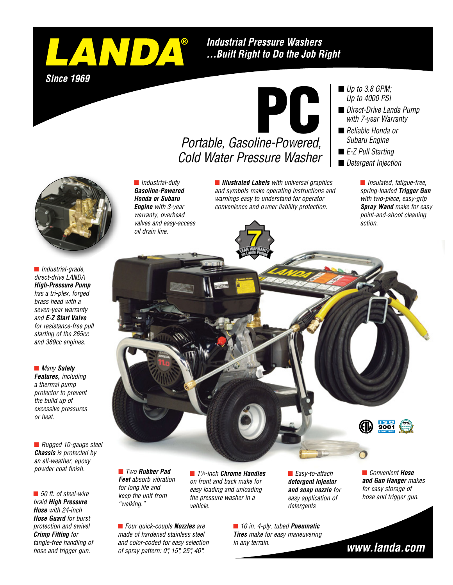

### **Industrial Pressure Washers** ... Built Right to Do the Job Right

**Since 1969** 

# PC

## *Portable, Gasoline-Powered, Cold Water Pressure Washer*

**n** *Illustrated Labels* with universal graphics

- *Up to 3.8 GPM; Up to 4000 PSI*
- *Direct-Drive Landa Pump with 7-year Warranty*
- *Reliable Honda or Subaru Engine*
- *E-Z Pull Starting*
- *Detergent Injection*

■ *Insulated, fatigue-free, spring-loaded Trigger Gun with two-piece, easy-grip Spray Wand make for easy point-and-shoot cleaning action.*

■ *Industrial-grade*, *direct-drive LANDA High-Pressure Pump has a tri-plex, forged brass head with a seven-year warranty and E-Z Start Valve for resistance-free pull starting of the 265cc and 389cc engines.*

■ *Many Safety Features, including a thermal pump protector to prevent the build up of excessive pressures or heat.*

n *Rugged 10-gauge steel Chassis is protected by an all-weather, epoxy powder coat finish.*

■ 50 ft. of steel-wire *braid High Pressure Hose with 24-inch Hose Guard for burst protection and swivel Crimp Fitting for tangle-free handling of hose and trigger gun.*

n *Industrial-duty Gasoline-Powered Honda or Subaru Engine with 3-year warranty, overhead valves and easy-access oil drain line.*

*and symbols make operating instructions and warnings easy to understand for operator convenience and owner liability protection.*



n *Two Rubber Pad Feet absorb vibration for long life and keep the unit from "walking."*

■ *Four quick-couple Nozzles* are *made of hardened stainless steel and color-coded for easy selection of spray pattern: 0°, 15°, 25°, 40°.*

■ *1<sup>1</sup>/4-inch Chrome Handles on front and back make for easy loading and unloading the pressure washer in a vehicle.*

■ *Easy-to-attach detergent Injector and soap nozzle for easy application of detergents*

n *10 in. 4-ply, tubed Pneumatic Tires make for easy maneuvering in any terrain.*

■ *Convenient Hose and Gun Hanger makes for easy storage of hose and trigger gun.*